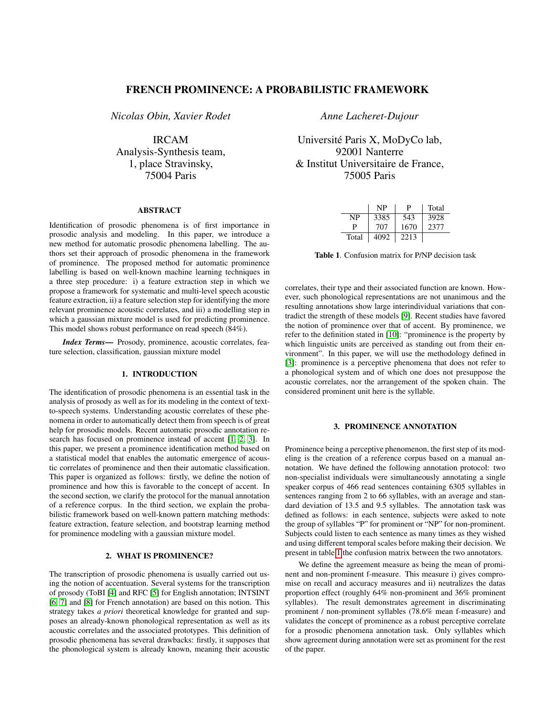# FRENCH PROMINENCE: A PROBABILISTIC FRAMEWORK

*Nicolas Obin, Xavier Rodet*

IRCAM Analysis-Synthesis team, 1, place Stravinsky, 75004 Paris

# ABSTRACT

Identification of prosodic phenomena is of first importance in prosodic analysis and modeling. In this paper, we introduce a new method for automatic prosodic phenomena labelling. The authors set their approach of prosodic phenomena in the framework of prominence. The proposed method for automatic prominence labelling is based on well-known machine learning techniques in a three step procedure: i) a feature extraction step in which we propose a framework for systematic and multi-level speech acoustic feature extraction, ii) a feature selection step for identifying the more relevant prominence acoustic correlates, and iii) a modelling step in which a gaussian mixture model is used for predicting prominence. This model shows robust performance on read speech (84%).

*Index Terms*— Prosody, prominence, acoustic correlates, feature selection, classification, gaussian mixture model

# 1. INTRODUCTION

The identification of prosodic phenomena is an essential task in the analysis of prosody as well as for its modeling in the context of textto-speech systems. Understanding acoustic correlates of these phenomena in order to automatically detect them from speech is of great help for prosodic models. Recent automatic prosodic annotation research has focused on prominence instead of accent [\[1,](#page-3-0) [2,](#page-3-1) [3\]](#page-3-2). In this paper, we present a prominence identification method based on a statistical model that enables the automatic emergence of acoustic correlates of prominence and then their automatic classification. This paper is organized as follows: firstly, we define the notion of prominence and how this is favorable to the concept of accent. In the second section, we clarify the protocol for the manual annotation of a reference corpus. In the third section, we explain the probabilistic framework based on well-known pattern matching methods: feature extraction, feature selection, and bootstrap learning method for prominence modeling with a gaussian mixture model.

# 2. WHAT IS PROMINENCE?

The transcription of prosodic phenomena is usually carried out using the notion of accentuation. Several systems for the transcription of prosody (ToBI [\[4\]](#page-3-3) and RFC [\[5\]](#page-3-4) for English annotation; INTSINT [\[6,](#page-3-5) [7\]](#page-3-6) and [\[8\]](#page-3-7) for French annotation) are based on this notion. This strategy takes *a priori* theoretical knowledge for granted and supposes an already-known phonological representation as well as its acoustic correlates and the associated prototypes. This definition of prosodic phenomena has several drawbacks: firstly, it supposes that the phonological system is already known, meaning their acoustic *Anne Lacheret-Dujour*

Universite Paris X, MoDyCo lab, ´ 92001 Nanterre & Institut Universitaire de France, 75005 Paris

|       | NP   | р    | Total |
|-------|------|------|-------|
| NP    | 3385 | 543  | 3928  |
| р     | 707  | 1670 | 2377  |
| Total | 4092 | 2213 |       |

<span id="page-0-0"></span>Table 1. Confusion matrix for P/NP decision task

correlates, their type and their associated function are known. However, such phonological representations are not unanimous and the resulting annotations show large interindividual variations that contradict the strength of these models [\[9\]](#page-3-8). Recent studies have favored the notion of prominence over that of accent. By prominence, we refer to the definition stated in [\[10\]](#page-3-9): "prominence is the property by which linguistic units are perceived as standing out from their environment". In this paper, we will use the methodology defined in [\[3\]](#page-3-2): prominence is a perceptive phenomena that does not refer to a phonological system and of which one does not presuppose the acoustic correlates, nor the arrangement of the spoken chain. The considered prominent unit here is the syllable.

# 3. PROMINENCE ANNOTATION

<span id="page-0-1"></span>Prominence being a perceptive phenomenon, the first step of its modeling is the creation of a reference corpus based on a manual annotation. We have defined the following annotation protocol: two non-specialist individuals were simultaneously annotating a single speaker corpus of 466 read sentences containing 6305 syllables in sentences ranging from 2 to 66 syllables, with an average and standard deviation of 13.5 and 9.5 syllables. The annotation task was defined as follows: in each sentence, subjects were asked to note the group of syllables "P" for prominent or "NP" for non-prominent. Subjects could listen to each sentence as many times as they wished and using different temporal scales before making their decision. We present in table [1](#page-0-0) the confusion matrix between the two annotators.

We define the agreement measure as being the mean of prominent and non-prominent f-measure. This measure i) gives compromise on recall and accuracy measures and ii) neutralizes the datas proportion effect (roughly 64% non-prominent and 36% prominent syllables). The result demonstrates agreement in discriminating prominent / non-prominent syllables (78.6% mean f-measure) and validates the concept of prominence as a robust perceptive correlate for a prosodic phenomena annotation task. Only syllables which show agreement during annotation were set as prominent for the rest of the paper.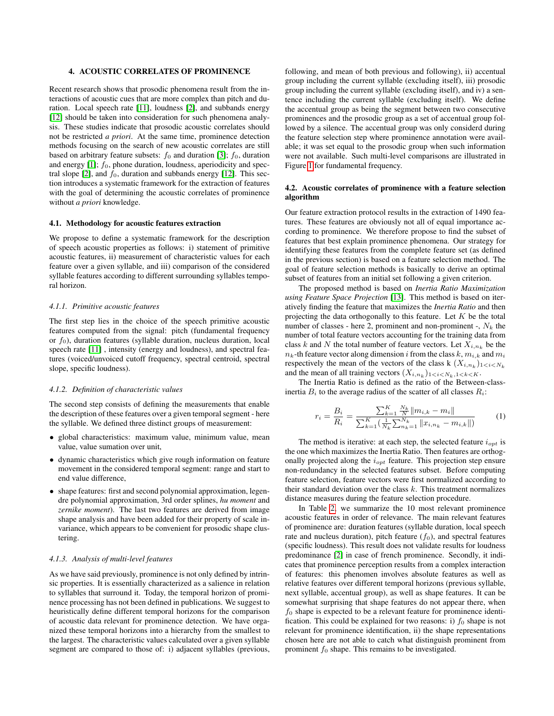### 4. ACOUSTIC CORRELATES OF PROMINENCE

Recent research shows that prosodic phenomena result from the interactions of acoustic cues that are more complex than pitch and duration. Local speech rate [\[11\]](#page-3-10), loudness [\[2\]](#page-3-1), and subbands energy [\[12\]](#page-3-11) should be taken into consideration for such phenomena analysis. These studies indicate that prosodic acoustic correlates should not be restricted *a priori*. At the same time, prominence detection methods focusing on the search of new acoustic correlates are still based on arbitrary feature subsets:  $f_0$  and duration [\[3\]](#page-3-2);  $f_0$ , duration and energy  $[1]$ ;  $f_0$ , phone duration, loudness, aperiodicity and spec-tral slope [\[2\]](#page-3-1), and  $f_0$ , duration and subbands energy [\[12\]](#page-3-11). This section introduces a systematic framework for the extraction of features with the goal of determining the acoustic correlates of prominence without *a priori* knowledge.

#### 4.1. Methodology for acoustic features extraction

We propose to define a systematic framework for the description of speech acoustic properties as follows: i) statement of primitive acoustic features, ii) measurement of characteristic values for each feature over a given syllable, and iii) comparison of the considered syllable features according to different surrounding syllables temporal horizon.

## *4.1.1. Primitive acoustic features*

The first step lies in the choice of the speech primitive acoustic features computed from the signal: pitch (fundamental frequency or  $f_0$ ), duration features (syllable duration, nucleus duration, local speech rate [\[11\]](#page-3-10) , intensity (energy and loudness), and spectral features (voiced/unvoiced cutoff frequency, spectral centroid, spectral slope, specific loudness).

#### *4.1.2. Definition of characteristic values*

The second step consists of defining the measurements that enable the description of these features over a given temporal segment - here the syllable. We defined three distinct groups of measurement:

- global characteristics: maximum value, minimum value, mean value, value sumation over unit,
- dynamic characteristics which give rough information on feature movement in the considered temporal segment: range and start to end value difference,
- shape features: first and second polynomial approximation, legendre polynomial approximation, 3rd order splines, *hu moment* and *zernike moment*). The last two features are derived from image shape analysis and have been added for their property of scale invariance, which appears to be convenient for prosodic shape clustering.

#### *4.1.3. Analysis of multi-level features*

As we have said previously, prominence is not only defined by intrinsic properties. It is essentially characterized as a salience in relation to syllables that surround it. Today, the temporal horizon of prominence processing has not been defined in publications. We suggest to heuristically define different temporal horizons for the comparison of acoustic data relevant for prominence detection. We have organized these temporal horizons into a hierarchy from the smallest to the largest. The characteristic values calculated over a given syllable segment are compared to those of: i) adjacent syllables (previous,

following, and mean of both previous and following), ii) accentual group including the current syllable (excluding itself), iii) prosodic group including the current syllable (excluding itself), and iv) a sentence including the current syllable (excluding itself). We define the accentual group as being the segment between two consecutive prominences and the prosodic group as a set of accentual group followed by a silence. The accentual group was only considerd during the feature selection step where prominence annotation were available; it was set equal to the prosodic group when such information were not available. Such multi-level comparisons are illustrated in Figure [1](#page-2-0) for fundamental frequency.

## 4.2. Acoustic correlates of prominence with a feature selection algorithm

Our feature extraction protocol results in the extraction of 1490 features. These features are obviously not all of equal importance according to prominence. We therefore propose to find the subset of features that best explain prominence phenomena. Our strategy for identifying these features from the complete feature set (as defined in the previous section) is based on a feature selection method. The goal of feature selection methods is basically to derive an optimal subset of features from an initial set following a given criterion.

The proposed method is based on *Inertia Ratio Maximization using Feature Space Projection* [\[13\]](#page-3-12). This method is based on iteratively finding the feature that maximizes the *Inertia Ratio* and then projecting the data orthogonally to this feature. Let  $K$  be the total number of classes - here 2, prominent and non-prominent -,  $N_k$  the number of total feature vectors accounting for the training data from class k and N the total number of feature vectors. Let  $X_{i,n_k}$  be the  $n_k$ -th feature vector along dimension i from the class  $k, m_{i,k}$  and  $m_i$ respectively the mean of the vectors of the class  $k$   $(X_{i,n_k})_{1 \leq i \leq N_k}$ and the mean of all training vectors  $(X_{i,n_k})_{1 \leq i \leq N_k, 1 \leq k \leq K}$ .

The Inertia Ratio is defined as the ratio of the Between-classinertia  $B_i$  to the average radius of the scatter of all classes  $R_i$ :

$$
r_i = \frac{B_i}{R_i} = \frac{\sum_{k=1}^{K} \frac{N_k}{N} ||m_{i,k} - m_i||}{\sum_{k=1}^{K} \left(\frac{1}{N_k} \sum_{n_k=1}^{N_k} ||x_{i,n_k} - m_{i,k}||\right)}
$$
(1)

The method is iterative: at each step, the selected feature  $i_{opt}$  is the one which maximizes the Inertia Ratio. Then features are orthogonally projected along the  $i_{opt}$  feature. This projection step ensure non-redundancy in the selected features subset. Before computing feature selection, feature vectors were first normalized according to their standard deviation over the class  $k$ . This treatment normalizes distance measures during the feature selection procedure.

In Table [2,](#page-2-1) we summarize the 10 most relevant prominence acoustic features in order of relevance. The main relevant features of prominence are: duration features (syllable duration, local speech rate and nucleus duration), pitch feature  $(f_0)$ , and spectral features (specific loudness). This result does not validate results for loudness predominance [\[2\]](#page-3-1) in case of french prominence. Secondly, it indicates that prominence perception results from a complex interaction of features: this phenomen involves absolute features as well as relative features over different temporal horizons (previous syllable, next syllable, accentual group), as well as shape features. It can be somewhat surprising that shape features do not appear there, when  $f_0$  shape is expected to be a relevant feature for prominence identification. This could be explained for two reasons: i)  $f_0$  shape is not relevant for prominence identification, ii) the shape representations chosen here are not able to catch what distinguish prominent from prominent  $f_0$  shape. This remains to be investigated.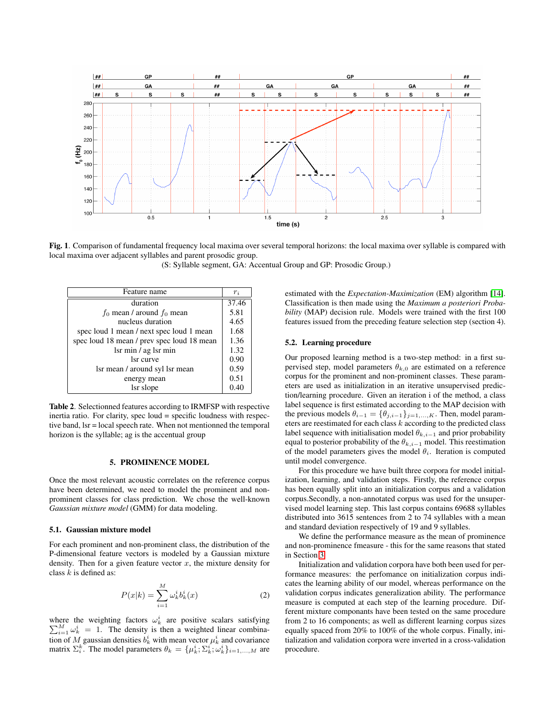

<span id="page-2-0"></span>Fig. 1. Comparison of fundamental frequency local maxima over several temporal horizons: the local maxima over syllable is compared with local maxima over adjacent syllables and parent prosodic group.

(S: Syllable segment, GA: Accentual Group and GP: Prosodic Group.)

| Feature name                                     | $r_i$ |
|--------------------------------------------------|-------|
| duration                                         | 37.46 |
| $f_0$ mean / around $f_0$ mean                   | 5.81  |
| nucleus duration                                 | 4.65  |
| spec loud 1 mean / next spec loud 1 mean         | 1.68  |
| spec loud 18 mean / prev spec loud 18 mean       | 1.36  |
| $\frac{1}{\pi}$ lsr min / ag $\frac{1}{\pi}$ min | 1.32  |
| lsr curve                                        | 0.90  |
| Isr mean / around syl Isr mean                   | 0.59  |
| energy mean                                      | 0.51  |
| lsr slope                                        | 0.40  |

<span id="page-2-1"></span>Table 2. Selectionned features according to IRMFSP with respective inertia ratio. For clarity, spec loud = specific loudness with respective band, lsr = local speech rate. When not mentionned the temporal horizon is the syllable; ag is the accentual group

### 5. PROMINENCE MODEL

Once the most relevant acoustic correlates on the reference corpus have been determined, we need to model the prominent and nonprominent classes for class prediction. We chose the well-known *Gaussian mixture model* (GMM) for data modeling.

#### 5.1. Gaussian mixture model

For each prominent and non-prominent class, the distribution of the P-dimensional feature vectors is modeled by a Gaussian mixture density. Then for a given feature vector  $x$ , the mixture density for class  $k$  is defined as:

$$
P(x|k) = \sum_{i=1}^{M} \omega_k^i b_k^i(x)
$$
 (2)

where the weighting factors  $\omega_k^i$ where the weighting factors  $\omega_k^i$  are positive scalars satisfying  $\sum_{i=1}^M \omega_k^i = 1$ . The density is then a weighted linear combination of M gaussian densities  $b_k^i$  with mean vector  $\mu_k^i$  and covariance matrix  $\Sigma_i^k$ . The model parameters  $\theta_k = {\mu_k^i; \Sigma_k^i; \omega_k^i}_{i=1,...,M}$  are estimated with the *Expectation-Maximization* (EM) algorithm [\[14\]](#page-3-13). Classification is then made using the *Maximum a posteriori Probability* (MAP) decision rule. Models were trained with the first 100 features issued from the preceding feature selection step (section 4).

### 5.2. Learning procedure

Our proposed learning method is a two-step method: in a first supervised step, model parameters  $\theta_{k,0}$  are estimated on a reference corpus for the prominent and non-prominent classes. These parameters are used as initialization in an iterative unsupervised prediction/learning procedure. Given an iteration i of the method, a class label sequence is first estimated according to the MAP decision with the previous models  $\theta_{i-1} = {\theta_{j,i-1}}_{j=1,\ldots,K}$ . Then, model parameters are reestimated for each class  $k$  according to the predicted class label sequence with initialisation model  $\theta_{k,i-1}$  and prior probability equal to posterior probability of the  $\theta_{k,i-1}$  model. This reestimation of the model parameters gives the model  $\theta_i$ . Iteration is computed until model convergence.

For this procedure we have built three corpora for model initialization, learning, and validation steps. Firstly, the reference corpus has been equally split into an initialization corpus and a validation corpus.Secondly, a non-annotated corpus was used for the unsupervised model learning step. This last corpus contains 69688 syllables distributed into 3615 sentences from 2 to 74 syllables with a mean and standard deviation respectively of 19 and 9 syllables.

We define the performance measure as the mean of prominence and non-prominence fmeasure - this for the same reasons that stated in Section [3.](#page-0-1)

Initialization and validation corpora have both been used for performance measures: the perfomance on initialization corpus indicates the learning ability of our model, whereas performance on the validation corpus indicates generalization ability. The performance measure is computed at each step of the learning procedure. Different mixture componants have been tested on the same procedure from 2 to 16 components; as well as different learning corpus sizes equally spaced from 20% to 100% of the whole corpus. Finally, initialization and validation corpora were inverted in a cross-validation procedure.